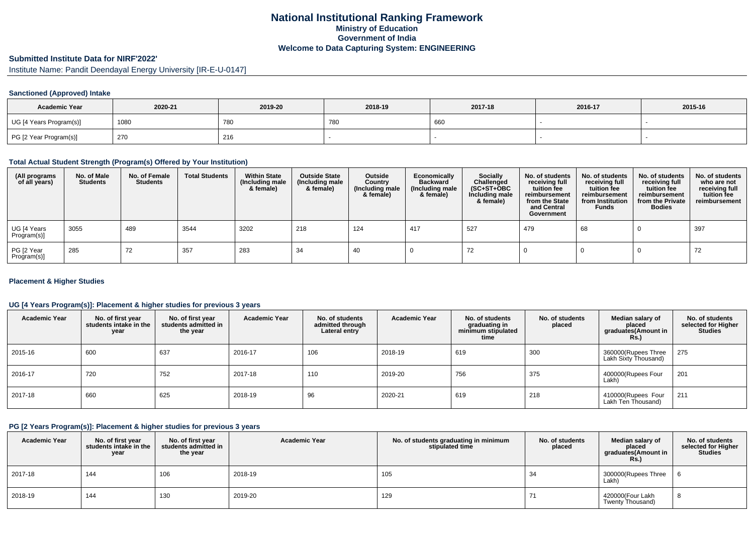## **National Institutional Ranking FrameworkMinistry of Education Government of IndiaWelcome to Data Capturing System: ENGINEERING**

# **Submitted Institute Data for NIRF'2022'**

Institute Name: Pandit Deendayal Energy University [IR-E-U-0147]

#### **Sanctioned (Approved) Intake**

| <b>Academic Year</b>    | 2020-21 | 2019-20 | 2018-19       | 2017-18 | 2016-17 | 2015-16 |
|-------------------------|---------|---------|---------------|---------|---------|---------|
| UG [4 Years Program(s)] | 1080    | 780     | $\sim$<br>780 | 660     |         |         |
| PG [2 Year Program(s)]  | 270     | 216     |               |         |         |         |

### **Total Actual Student Strength (Program(s) Offered by Your Institution)**

| (All programs<br>of all years) | No. of Male<br><b>Students</b> | No. of Female<br><b>Students</b> | <b>Total Students</b> | <b>Within State</b><br>(Including male<br>& female) | <b>Outside State</b><br>(Including male<br>& female) | Outside<br>Country<br>(Including male<br>& female) | Economically<br><b>Backward</b><br>(Including male<br>& female) | <b>Socially</b><br>Challenged<br>$(SC+ST+OBC)$<br>Including male<br>& female) | No. of students<br>receiving full<br>tuition fee<br>reimbursement<br>from the State<br>and Central<br>Government | No. of students<br>receiving full<br>tuition fee<br>reimbursement<br>from Institution<br><b>Funds</b> | No. of students<br>receiving full<br>tuition fee<br>reimbursement<br>from the Private<br><b>Bodies</b> | No. of students<br>who are not<br>receiving full<br>tuition fee<br>reimbursement |
|--------------------------------|--------------------------------|----------------------------------|-----------------------|-----------------------------------------------------|------------------------------------------------------|----------------------------------------------------|-----------------------------------------------------------------|-------------------------------------------------------------------------------|------------------------------------------------------------------------------------------------------------------|-------------------------------------------------------------------------------------------------------|--------------------------------------------------------------------------------------------------------|----------------------------------------------------------------------------------|
| UG [4 Years<br>Program(s)]     | 3055                           | 489                              | 3544                  | 3202                                                | 218                                                  | 124                                                | 417                                                             | 527                                                                           | 479                                                                                                              | 68                                                                                                    |                                                                                                        | 397                                                                              |
| PG [2 Year<br>Program(s)]      | 285                            | 72                               | 357                   | 283                                                 | -34                                                  | 40                                                 |                                                                 | 72                                                                            |                                                                                                                  |                                                                                                       |                                                                                                        | 72                                                                               |

#### **Placement & Higher Studies**

### **UG [4 Years Program(s)]: Placement & higher studies for previous 3 years**

| <b>Academic Year</b> | No. of first year<br>students intake in the<br>year | No. of first vear<br>students admitted in<br>the year | <b>Academic Year</b> | No. of students<br>admitted through<br>Lateral entry | <b>Academic Year</b> | No. of students<br>graduating in<br>minimum stipulated<br>time | No. of students<br>placed | Median salary of<br>placed<br>graduates(Amount in<br>Rs. | No. of students<br>selected for Higher<br><b>Studies</b> |
|----------------------|-----------------------------------------------------|-------------------------------------------------------|----------------------|------------------------------------------------------|----------------------|----------------------------------------------------------------|---------------------------|----------------------------------------------------------|----------------------------------------------------------|
| 2015-16              | 600                                                 | 637                                                   | 2016-17              | 106                                                  | 2018-19              | 619                                                            | 300                       | 360000(Rupees Three<br>Lakh Sixty Thousand)              | 275                                                      |
| 2016-17              | 720                                                 | 752                                                   | 2017-18              | 110                                                  | 2019-20              | 756                                                            | 375                       | 400000(Rupees Four<br>Lakh)                              | 201                                                      |
| 2017-18              | 660                                                 | 625                                                   | 2018-19              | 96                                                   | 2020-21              | 619                                                            | 218                       | 410000(Rupees Four<br>Lakh Ten Thousand)                 | 211                                                      |

### **PG [2 Years Program(s)]: Placement & higher studies for previous 3 years**

| <b>Academic Year</b> | No. of first year<br>students intake in the<br>year | No. of first vear<br>students admitted in<br>the year | <b>Academic Year</b> | No. of students graduating in minimum<br>stipulated time | No. of students<br>placed | Median salary of<br>placed<br>graduates (Amount in<br>Rs.) | No. of students<br>selected for Higher<br><b>Studies</b> |
|----------------------|-----------------------------------------------------|-------------------------------------------------------|----------------------|----------------------------------------------------------|---------------------------|------------------------------------------------------------|----------------------------------------------------------|
| 2017-18              | 144                                                 | 106                                                   | 2018-19              | 105                                                      | 34                        | 300000(Rupees Three<br>Lakh)                               |                                                          |
| 2018-19              | 144                                                 | 130                                                   | 2019-20              | 129                                                      |                           | 420000(Four Lakh<br>Twenty Thousand)                       | 8                                                        |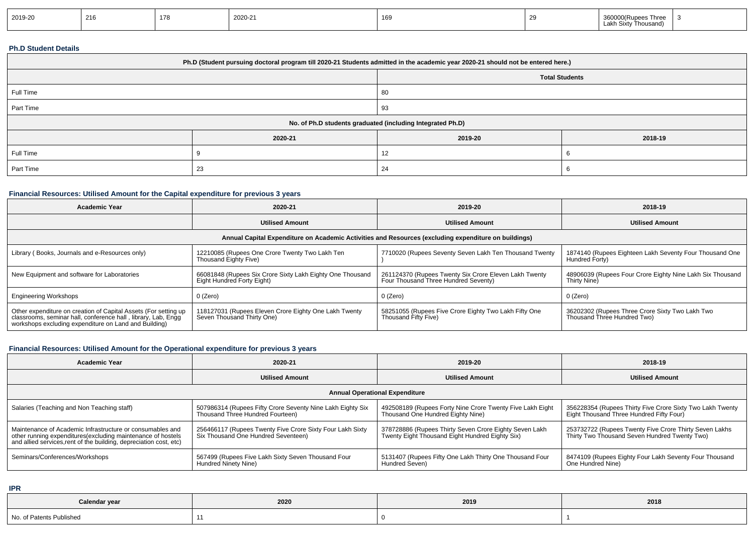| 2019-20 | 216 | 178 | 2020-21 | 169 |  | , hree<br>חווז<br>Thousand)<br>Lakr |  |
|---------|-----|-----|---------|-----|--|-------------------------------------|--|
|---------|-----|-----|---------|-----|--|-------------------------------------|--|

### **Ph.D Student Details**

| Ph.D (Student pursuing doctoral program till 2020-21 Students admitted in the academic year 2020-21 should not be entered here.) |          |         |                       |  |  |  |  |
|----------------------------------------------------------------------------------------------------------------------------------|----------|---------|-----------------------|--|--|--|--|
|                                                                                                                                  |          |         | <b>Total Students</b> |  |  |  |  |
| Full Time                                                                                                                        |          | 80      |                       |  |  |  |  |
| Part Time                                                                                                                        |          | 93      |                       |  |  |  |  |
| No. of Ph.D students graduated (including Integrated Ph.D)                                                                       |          |         |                       |  |  |  |  |
|                                                                                                                                  | 2020-21  | 2019-20 | 2018-19               |  |  |  |  |
| Full Time                                                                                                                        |          |         |                       |  |  |  |  |
| Part Time                                                                                                                        | 23<br>24 |         |                       |  |  |  |  |

### **Financial Resources: Utilised Amount for the Capital expenditure for previous 3 years**

| <b>Academic Year</b>                                                                                                                                                                      | 2020-21                                                                                 | 2019-20                                                                                       | 2018-19                                                                        |  |  |  |  |
|-------------------------------------------------------------------------------------------------------------------------------------------------------------------------------------------|-----------------------------------------------------------------------------------------|-----------------------------------------------------------------------------------------------|--------------------------------------------------------------------------------|--|--|--|--|
|                                                                                                                                                                                           | <b>Utilised Amount</b>                                                                  | <b>Utilised Amount</b>                                                                        | <b>Utilised Amount</b>                                                         |  |  |  |  |
| Annual Capital Expenditure on Academic Activities and Resources (excluding expenditure on buildings)                                                                                      |                                                                                         |                                                                                               |                                                                                |  |  |  |  |
| Library (Books, Journals and e-Resources only)                                                                                                                                            | 12210085 (Rupees One Crore Twenty Two Lakh Ten<br>Thousand Eighty Five)                 | 7710020 (Rupees Seventy Seven Lakh Ten Thousand Twenty                                        | 1874140 (Rupees Eighteen Lakh Seventy Four Thousand One<br>Hundred Forty)      |  |  |  |  |
| New Equipment and software for Laboratories                                                                                                                                               | 66081848 (Rupees Six Crore Sixty Lakh Eighty One Thousand<br>Eight Hundred Forty Eight) | 261124370 (Rupees Twenty Six Crore Eleven Lakh Twenty<br>Four Thousand Three Hundred Seventy) | 48906039 (Rupees Four Crore Eighty Nine Lakh Six Thousand<br>Thirty Nine)      |  |  |  |  |
| <b>Engineering Workshops</b>                                                                                                                                                              | 0 (Zero)                                                                                | 0 (Zero)                                                                                      | 0 (Zero)                                                                       |  |  |  |  |
| Other expenditure on creation of Capital Assets (For setting up<br>classrooms, seminar hall, conference hall, library, Lab, Engq<br>workshops excluding expenditure on Land and Building) | 118127031 (Rupees Eleven Crore Eighty One Lakh Twenty<br>Seven Thousand Thirty One)     | 58251055 (Rupees Five Crore Eighty Two Lakh Fifty One<br>Thousand Fifty Five)                 | 36202302 (Rupees Three Crore Sixty Two Lakh Two<br>Thousand Three Hundred Two) |  |  |  |  |

# **Financial Resources: Utilised Amount for the Operational expenditure for previous 3 years**

| <b>Academic Year</b>                                                                                                                                                                            | 2020-21                                                                                                     | 2019-20                                                                                                   | 2018-19                                                                                                 |  |  |  |  |
|-------------------------------------------------------------------------------------------------------------------------------------------------------------------------------------------------|-------------------------------------------------------------------------------------------------------------|-----------------------------------------------------------------------------------------------------------|---------------------------------------------------------------------------------------------------------|--|--|--|--|
|                                                                                                                                                                                                 | <b>Utilised Amount</b>                                                                                      | <b>Utilised Amount</b>                                                                                    | <b>Utilised Amount</b>                                                                                  |  |  |  |  |
| <b>Annual Operational Expenditure</b>                                                                                                                                                           |                                                                                                             |                                                                                                           |                                                                                                         |  |  |  |  |
| Salaries (Teaching and Non Teaching staff)                                                                                                                                                      | <sup>1</sup> 507986314 (Rupees Fifty Crore Seventy Nine Lakh Eighty Six<br>Thousand Three Hundred Fourteen) | 492508189 (Rupees Forty Nine Crore Twenty Five Lakh Eight<br>Thousand One Hundred Eighty Nine)            | 356228354 (Rupees Thirty Five Crore Sixty Two Lakh Twenty<br>Eight Thousand Three Hundred Fifty Four)   |  |  |  |  |
| Maintenance of Academic Infrastructure or consumables and<br>other running expenditures (excluding maintenance of hostels<br>and allied services, rent of the building, depreciation cost, etc) | 256466117 (Rupees Twenty Five Crore Sixty Four Lakh Sixty<br>Six Thousand One Hundred Seventeen)            | 378728886 (Rupees Thirty Seven Crore Eighty Seven Lakh<br>Twenty Eight Thousand Eight Hundred Eighty Six) | 253732722 (Rupees Twenty Five Crore Thirty Seven Lakhs<br>Thirty Two Thousand Seven Hundred Twenty Two) |  |  |  |  |
| Seminars/Conferences/Workshops                                                                                                                                                                  | 567499 (Rupees Five Lakh Sixty Seven Thousand Four<br>Hundred Ninety Nine)                                  | 5131407 (Rupees Fifty One Lakh Thirty One Thousand Four<br>Hundred Seven)                                 | 8474109 (Rupees Eighty Four Lakh Seventy Four Thousand<br>One Hundred Nine)                             |  |  |  |  |

**IPR**

| Calendar year                | 2020 | 2019 | 2018 |
|------------------------------|------|------|------|
| No. of Pate<br>nts Published |      |      |      |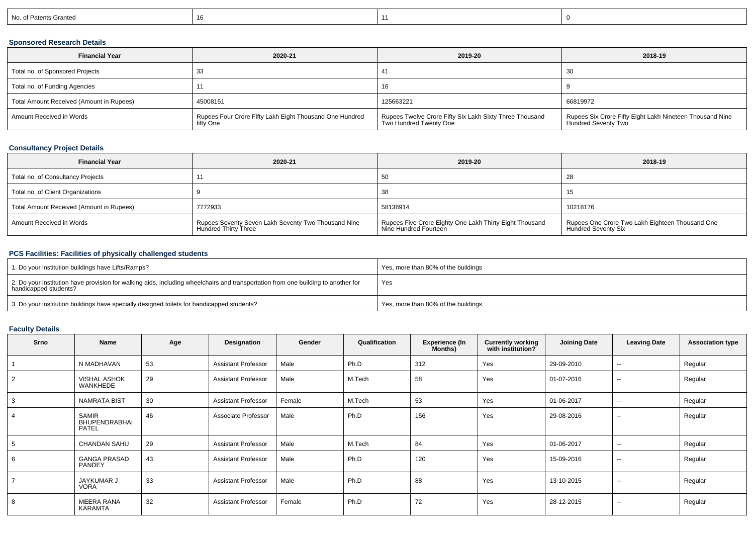| No. of Patents Granted |  |  |  |
|------------------------|--|--|--|
|------------------------|--|--|--|

### **Sponsored Research Details**

| <b>Financial Year</b>                    | 2020-21                                                              | 2019-20                                                                           | 2018-19                                                                         |
|------------------------------------------|----------------------------------------------------------------------|-----------------------------------------------------------------------------------|---------------------------------------------------------------------------------|
| Total no. of Sponsored Projects          |                                                                      |                                                                                   | 30                                                                              |
| Total no. of Funding Agencies            |                                                                      | 16                                                                                |                                                                                 |
| Total Amount Received (Amount in Rupees) | 45008151                                                             | 125663221                                                                         | 66819972                                                                        |
| Amount Received in Words                 | Rupees Four Crore Fifty Lakh Eight Thousand One Hundred<br>fifty One | Rupees Twelve Crore Fifty Six Lakh Sixty Three Thousand<br>Two Hundred Twenty One | Rupees Six Crore Fifty Eight Lakh Nineteen Thousand Nine<br>Hundred Seventy Two |

### **Consultancy Project Details**

| <b>Financial Year</b>                    | 2020-21                                                                            | 2019-20                                                                          | 2018-19                                                                       |
|------------------------------------------|------------------------------------------------------------------------------------|----------------------------------------------------------------------------------|-------------------------------------------------------------------------------|
| Total no. of Consultancy Projects        |                                                                                    | 50                                                                               | 40                                                                            |
| Total no. of Client Organizations        |                                                                                    | 38                                                                               | 15                                                                            |
| Total Amount Received (Amount in Rupees) | 7772933                                                                            | 58138914                                                                         | 10218176                                                                      |
| Amount Received in Words                 | Rupees Seventy Seven Lakh Seventy Two Thousand Nine<br><b>Hundred Thirty Three</b> | Rupees Five Crore Eighty One Lakh Thirty Eight Thousand<br>Nine Hundred Fourteen | Rupees One Crore Two Lakh Eighteen Thousand One<br><b>Hundred Seventy Six</b> |

### **PCS Facilities: Facilities of physically challenged students**

| <sup>1</sup> 1. Do your institution buildings have Lifts/Ramps?                                                                                            | Yes, more than 80% of the buildings |
|------------------------------------------------------------------------------------------------------------------------------------------------------------|-------------------------------------|
| 2. Do your institution have provision for walking aids, including wheelchairs and transportation from one building to another for<br>handicapped students? | Yes                                 |
| 3. Do your institution buildings have specially designed toilets for handicapped students?                                                                 | Yes, more than 80% of the buildings |

### **Faculty Details**

| <b>Srno</b>    | Name                                          | Age | Designation                | Gender | Qualification | <b>Experience (In</b><br>Months) | <b>Currently working</b><br>with institution? | <b>Joining Date</b> | <b>Leaving Date</b>      | <b>Association type</b> |
|----------------|-----------------------------------------------|-----|----------------------------|--------|---------------|----------------------------------|-----------------------------------------------|---------------------|--------------------------|-------------------------|
|                | N MADHAVAN                                    | 53  | <b>Assistant Professor</b> | Male   | Ph.D          | 312                              | Yes                                           | 29-09-2010          | $\overline{\phantom{a}}$ | Regular                 |
| $\overline{2}$ | <b>VISHAL ASHOK</b><br>WANKHEDE               | 29  | <b>Assistant Professor</b> | Male   | M.Tech        | 58                               | Yes                                           | 01-07-2016          | $\overline{\phantom{a}}$ | Regular                 |
| 3              | <b>NAMRATA BIST</b>                           | 30  | <b>Assistant Professor</b> | Female | M.Tech        | 53                               | Yes                                           | 01-06-2017          | $\sim$ $\sim$            | Regular                 |
| $\overline{4}$ | <b>SAMIR</b><br><b>BHUPENDRABHAI</b><br>PATEL | 46  | Associate Professor        | Male   | Ph.D          | 156                              | Yes                                           | 29-08-2016          | $\overline{\phantom{a}}$ | Regular                 |
| 5              | <b>CHANDAN SAHU</b>                           | 29  | <b>Assistant Professor</b> | Male   | M.Tech        | 84                               | Yes                                           | 01-06-2017          | $\overline{\phantom{a}}$ | Regular                 |
| 6              | <b>GANGA PRASAD</b><br>PANDEY                 | 43  | <b>Assistant Professor</b> | Male   | Ph.D          | 120                              | Yes                                           | 15-09-2016          | $\overline{\phantom{a}}$ | Regular                 |
|                | <b>JAYKUMAR J</b><br><b>VORA</b>              | 33  | <b>Assistant Professor</b> | Male   | Ph.D          | 88                               | Yes                                           | 13-10-2015          | $\overline{\phantom{a}}$ | Regular                 |
| 8              | <b>MEERA RANA</b><br>KARAMTA                  | 32  | <b>Assistant Professor</b> | Female | Ph.D          | 72                               | Yes                                           | 28-12-2015          | $\overline{\phantom{a}}$ | Regular                 |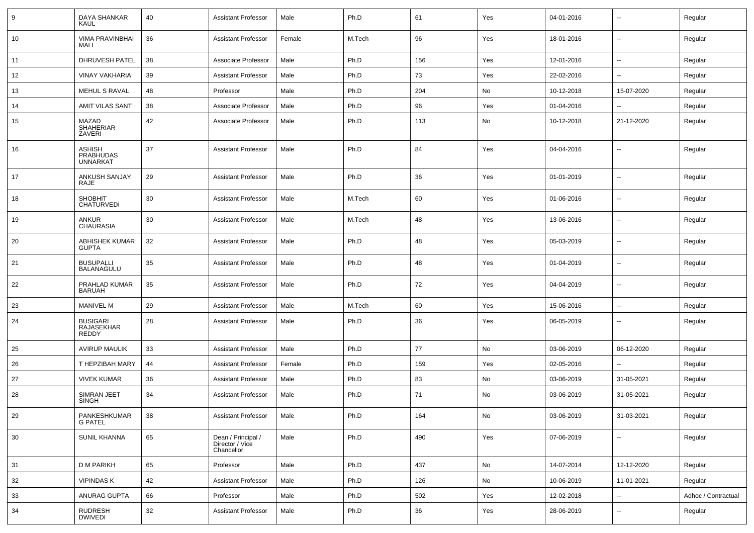| 9  | DAYA SHANKAR<br>KAUL                          | 40 | <b>Assistant Professor</b>                          | Male   | Ph.D   | 61  | Yes           | 04-01-2016 | $\overline{\phantom{a}}$ | Regular             |
|----|-----------------------------------------------|----|-----------------------------------------------------|--------|--------|-----|---------------|------------|--------------------------|---------------------|
| 10 | <b>VIMA PRAVINBHAI</b><br>MALI                | 36 | <b>Assistant Professor</b>                          | Female | M.Tech | 96  | Yes           | 18-01-2016 | $\overline{\phantom{a}}$ | Regular             |
| 11 | <b>DHRUVESH PATEL</b>                         | 38 | Associate Professor                                 | Male   | Ph.D   | 156 | Yes           | 12-01-2016 | $\sim$                   | Regular             |
| 12 | <b>VINAY VAKHARIA</b>                         | 39 | <b>Assistant Professor</b>                          | Male   | Ph.D   | 73  | Yes           | 22-02-2016 | $\overline{\phantom{a}}$ | Regular             |
| 13 | MEHUL S RAVAL                                 | 48 | Professor                                           | Male   | Ph.D   | 204 | No            | 10-12-2018 | 15-07-2020               | Regular             |
| 14 | AMIT VILAS SANT                               | 38 | Associate Professor                                 | Male   | Ph.D   | 96  | Yes           | 01-04-2016 |                          | Regular             |
| 15 | MAZAD<br><b>SHAHERIAR</b><br>ZAVERI           | 42 | Associate Professor                                 | Male   | Ph.D   | 113 | No            | 10-12-2018 | 21-12-2020               | Regular             |
| 16 | <b>ASHISH</b><br>PRABHUDAS<br><b>UNNARKAT</b> | 37 | <b>Assistant Professor</b>                          | Male   | Ph.D   | 84  | Yes           | 04-04-2016 | $\overline{\phantom{a}}$ | Regular             |
| 17 | ANKUSH SANJAY<br><b>RAJE</b>                  | 29 | Assistant Professor                                 | Male   | Ph.D   | 36  | Yes           | 01-01-2019 | $\overline{\phantom{a}}$ | Regular             |
| 18 | <b>SHOBHIT</b><br><b>CHATURVEDI</b>           | 30 | <b>Assistant Professor</b>                          | Male   | M.Tech | 60  | Yes           | 01-06-2016 | $\overline{\phantom{a}}$ | Regular             |
| 19 | <b>ANKUR</b><br><b>CHAURASIA</b>              | 30 | <b>Assistant Professor</b>                          | Male   | M.Tech | 48  | Yes           | 13-06-2016 | $\overline{\phantom{a}}$ | Regular             |
| 20 | <b>ABHISHEK KUMAR</b><br><b>GUPTA</b>         | 32 | <b>Assistant Professor</b>                          | Male   | Ph.D   | 48  | Yes           | 05-03-2019 | $\overline{\phantom{a}}$ | Regular             |
| 21 | <b>BUSUPALLI</b><br><b>BALANAGULU</b>         | 35 | <b>Assistant Professor</b>                          | Male   | Ph.D   | 48  | Yes           | 01-04-2019 | $\overline{\phantom{a}}$ | Regular             |
| 22 | PRAHLAD KUMAR<br><b>BARUAH</b>                | 35 | <b>Assistant Professor</b>                          | Male   | Ph.D   | 72  | Yes           | 04-04-2019 | $\overline{\phantom{a}}$ | Regular             |
| 23 | <b>MANIVEL M</b>                              | 29 | Assistant Professor                                 | Male   | M.Tech | 60  | Yes           | 15-06-2016 | $\overline{\phantom{a}}$ | Regular             |
| 24 | <b>BUSIGARI</b><br>RAJASEKHAR<br><b>REDDY</b> | 28 | <b>Assistant Professor</b>                          | Male   | Ph.D   | 36  | Yes           | 06-05-2019 | $\overline{\phantom{a}}$ | Regular             |
| 25 | <b>AVIRUP MAULIK</b>                          | 33 | <b>Assistant Professor</b>                          | Male   | Ph.D   | 77  | No            | 03-06-2019 | 06-12-2020               | Regular             |
| 26 | T HEPZIBAH MARY                               | 44 | <b>Assistant Professor</b>                          | Female | Ph.D   | 159 | Yes           | 02-05-2016 |                          | Regular             |
| 27 | <b>VIVEK KUMAR</b>                            | 36 | <b>Assistant Professor</b>                          | Male   | Ph.D   | 83  | No            | 03-06-2019 | 31-05-2021               | Regular             |
| 28 | SIMRAN JEET<br><b>SINGH</b>                   | 34 | <b>Assistant Professor</b>                          | Male   | Ph.D   | 71  | No            | 03-06-2019 | 31-05-2021               | Regular             |
| 29 | PANKESHKUMAR<br>G PATEL                       | 38 | <b>Assistant Professor</b>                          | Male   | Ph.D   | 164 | No            | 03-06-2019 | 31-03-2021               | Regular             |
| 30 | <b>SUNIL KHANNA</b>                           | 65 | Dean / Principal /<br>Director / Vice<br>Chancellor | Male   | Ph.D   | 490 | Yes           | 07-06-2019 | $\overline{\phantom{a}}$ | Regular             |
| 31 | <b>D M PARIKH</b>                             | 65 | Professor                                           | Male   | Ph.D   | 437 | $\mathsf{No}$ | 14-07-2014 | 12-12-2020               | Regular             |
| 32 | <b>VIPINDASK</b>                              | 42 | <b>Assistant Professor</b>                          | Male   | Ph.D   | 126 | No            | 10-06-2019 | 11-01-2021               | Regular             |
| 33 | <b>ANURAG GUPTA</b>                           | 66 | Professor                                           | Male   | Ph.D   | 502 | Yes           | 12-02-2018 | $\sim$                   | Adhoc / Contractual |
| 34 | RUDRESH<br>DWIVEDI                            | 32 | <b>Assistant Professor</b>                          | Male   | Ph.D   | 36  | Yes           | 28-06-2019 | $\overline{\phantom{a}}$ | Regular             |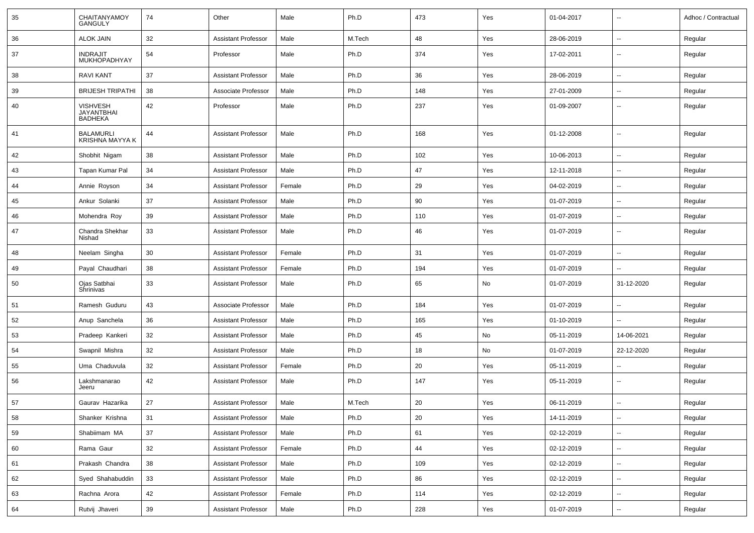| 35 | <b>CHAITANYAMOY</b><br><b>GANGULY</b>                  | 74 | Other                      | Male   | Ph.D   | 473 | Yes | 01-04-2017 | $\overline{\phantom{a}}$ | Adhoc / Contractual |
|----|--------------------------------------------------------|----|----------------------------|--------|--------|-----|-----|------------|--------------------------|---------------------|
| 36 | <b>ALOK JAIN</b>                                       | 32 | <b>Assistant Professor</b> | Male   | M.Tech | 48  | Yes | 28-06-2019 | $\sim$                   | Regular             |
| 37 | <b>INDRAJIT</b><br><b>MUKHOPADHYAY</b>                 | 54 | Professor                  | Male   | Ph.D   | 374 | Yes | 17-02-2011 | Ξ.                       | Regular             |
| 38 | <b>RAVI KANT</b>                                       | 37 | <b>Assistant Professor</b> | Male   | Ph.D   | 36  | Yes | 28-06-2019 | Ξ.                       | Regular             |
| 39 | <b>BRIJESH TRIPATHI</b>                                | 38 | Associate Professor        | Male   | Ph.D   | 148 | Yes | 27-01-2009 | $\sim$                   | Regular             |
| 40 | <b>VISHVESH</b><br><b>JAYANTBHAI</b><br><b>BADHEKA</b> | 42 | Professor                  | Male   | Ph.D   | 237 | Yes | 01-09-2007 | --                       | Regular             |
| 41 | <b>BALAMURLI</b><br><b>KRISHNA MAYYA K</b>             | 44 | <b>Assistant Professor</b> | Male   | Ph.D   | 168 | Yes | 01-12-2008 | $\sim$                   | Regular             |
| 42 | Shobhit Nigam                                          | 38 | <b>Assistant Professor</b> | Male   | Ph.D   | 102 | Yes | 10-06-2013 | $\sim$                   | Regular             |
| 43 | Tapan Kumar Pal                                        | 34 | <b>Assistant Professor</b> | Male   | Ph.D   | 47  | Yes | 12-11-2018 | --                       | Regular             |
| 44 | Annie Royson                                           | 34 | <b>Assistant Professor</b> | Female | Ph.D   | 29  | Yes | 04-02-2019 | Ξ.                       | Regular             |
| 45 | Ankur Solanki                                          | 37 | <b>Assistant Professor</b> | Male   | Ph.D   | 90  | Yes | 01-07-2019 | $\sim$                   | Regular             |
| 46 | Mohendra Roy                                           | 39 | <b>Assistant Professor</b> | Male   | Ph.D   | 110 | Yes | 01-07-2019 | $\sim$                   | Regular             |
| 47 | Chandra Shekhar<br>Nishad                              | 33 | <b>Assistant Professor</b> | Male   | Ph.D   | 46  | Yes | 01-07-2019 | Ξ.                       | Regular             |
| 48 | Neelam Singha                                          | 30 | <b>Assistant Professor</b> | Female | Ph.D   | 31  | Yes | 01-07-2019 | $\sim$                   | Regular             |
| 49 | Payal Chaudhari                                        | 38 | <b>Assistant Professor</b> | Female | Ph.D   | 194 | Yes | 01-07-2019 | $\sim$                   | Regular             |
| 50 | Ojas Satbhai<br>Shrinivas                              | 33 | <b>Assistant Professor</b> | Male   | Ph.D   | 65  | No  | 01-07-2019 | 31-12-2020               | Regular             |
| 51 | Ramesh Guduru                                          | 43 | Associate Professor        | Male   | Ph.D   | 184 | Yes | 01-07-2019 | $\overline{\phantom{a}}$ | Regular             |
| 52 | Anup Sanchela                                          | 36 | <b>Assistant Professor</b> | Male   | Ph.D   | 165 | Yes | 01-10-2019 |                          | Regular             |
| 53 | Pradeep Kankeri                                        | 32 | <b>Assistant Professor</b> | Male   | Ph.D   | 45  | No  | 05-11-2019 | 14-06-2021               | Regular             |
| 54 | Swapnil Mishra                                         | 32 | <b>Assistant Professor</b> | Male   | Ph.D   | 18  | No  | 01-07-2019 | 22-12-2020               | Regular             |
| 55 | Uma Chaduvula                                          | 32 | <b>Assistant Professor</b> | Female | Ph.D   | 20  | Yes | 05-11-2019 | $\sim$                   | Regular             |
| 56 | Lakshmanarao<br>Jeeru                                  | 42 | <b>Assistant Professor</b> | Male   | Ph.D   | 147 | Yes | 05-11-2019 | $\sim$                   | Regular             |
| 57 | Gaurav Hazarika                                        | 27 | <b>Assistant Professor</b> | Male   | M.Tech | 20  | Yes | 06-11-2019 | $\overline{a}$           | Regular             |
| 58 | Shanker Krishna                                        | 31 | <b>Assistant Professor</b> | Male   | Ph.D   | 20  | Yes | 14-11-2019 | $\overline{\phantom{a}}$ | Regular             |
| 59 | Shabiimam MA                                           | 37 | Assistant Professor        | Male   | Ph.D   | 61  | Yes | 02-12-2019 | ш.                       | Regular             |
| 60 | Rama Gaur                                              | 32 | <b>Assistant Professor</b> | Female | Ph.D   | 44  | Yes | 02-12-2019 | $\bar{\phantom{a}}$      | Regular             |
| 61 | Prakash Chandra                                        | 38 | Assistant Professor        | Male   | Ph.D   | 109 | Yes | 02-12-2019 | ц.                       | Regular             |
| 62 | Syed Shahabuddin                                       | 33 | <b>Assistant Professor</b> | Male   | Ph.D   | 86  | Yes | 02-12-2019 | $\overline{\phantom{a}}$ | Regular             |
| 63 | Rachna Arora                                           | 42 | <b>Assistant Professor</b> | Female | Ph.D   | 114 | Yes | 02-12-2019 | $\overline{\phantom{a}}$ | Regular             |
| 64 | Rutvij Jhaveri                                         | 39 | <b>Assistant Professor</b> | Male   | Ph.D   | 228 | Yes | 01-07-2019 | $\overline{\phantom{a}}$ | Regular             |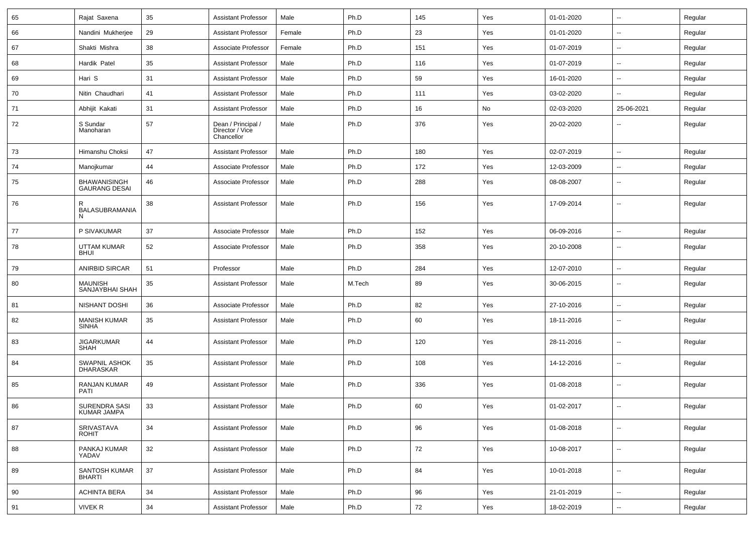| 65 | Rajat Saxena                                | 35     | <b>Assistant Professor</b>                          | Male   | Ph.D   | 145 | Yes | 01-01-2020 | н.                       | Regular |
|----|---------------------------------------------|--------|-----------------------------------------------------|--------|--------|-----|-----|------------|--------------------------|---------|
| 66 | Nandini Mukherjee                           | 29     | <b>Assistant Professor</b>                          | Female | Ph.D   | 23  | Yes | 01-01-2020 | --                       | Regular |
| 67 | Shakti Mishra                               | 38     | Associate Professor                                 | Female | Ph.D   | 151 | Yes | 01-07-2019 | -−                       | Regular |
| 68 | Hardik Patel                                | 35     | <b>Assistant Professor</b>                          | Male   | Ph.D   | 116 | Yes | 01-07-2019 | $\overline{a}$           | Regular |
| 69 | Hari S                                      | 31     | <b>Assistant Professor</b>                          | Male   | Ph.D   | 59  | Yes | 16-01-2020 | --                       | Regular |
| 70 | Nitin Chaudhari                             | 41     | <b>Assistant Professor</b>                          | Male   | Ph.D   | 111 | Yes | 03-02-2020 | $\overline{\phantom{a}}$ | Regular |
| 71 | Abhijit Kakati                              | 31     | <b>Assistant Professor</b>                          | Male   | Ph.D   | 16  | No  | 02-03-2020 | 25-06-2021               | Regular |
| 72 | S Sundar<br>Manoharan                       | 57     | Dean / Principal /<br>Director / Vice<br>Chancellor | Male   | Ph.D   | 376 | Yes | 20-02-2020 | --                       | Regular |
| 73 | Himanshu Choksi                             | 47     | <b>Assistant Professor</b>                          | Male   | Ph.D   | 180 | Yes | 02-07-2019 | $\overline{\phantom{a}}$ | Regular |
| 74 | Manojkumar                                  | 44     | Associate Professor                                 | Male   | Ph.D   | 172 | Yes | 12-03-2009 | --                       | Regular |
| 75 | <b>BHAWANISINGH</b><br><b>GAURANG DESAI</b> | 46     | Associate Professor                                 | Male   | Ph.D   | 288 | Yes | 08-08-2007 | $\overline{\phantom{a}}$ | Regular |
| 76 | R.<br>BALASUBRAMANIA<br>N.                  | 38     | <b>Assistant Professor</b>                          | Male   | Ph.D   | 156 | Yes | 17-09-2014 | $\overline{\phantom{a}}$ | Regular |
| 77 | P SIVAKUMAR                                 | 37     | Associate Professor                                 | Male   | Ph.D   | 152 | Yes | 06-09-2016 | -−                       | Regular |
| 78 | UTTAM KUMAR<br><b>BHUI</b>                  | 52     | Associate Professor                                 | Male   | Ph.D   | 358 | Yes | 20-10-2008 | $\overline{\phantom{a}}$ | Regular |
| 79 | <b>ANIRBID SIRCAR</b>                       | 51     | Professor                                           | Male   | Ph.D   | 284 | Yes | 12-07-2010 | $\overline{\phantom{a}}$ | Regular |
| 80 | <b>MAUNISH</b><br>SANJAYBHAI SHAH           | 35     | <b>Assistant Professor</b>                          | Male   | M.Tech | 89  | Yes | 30-06-2015 | $\overline{\phantom{a}}$ | Regular |
| 81 | NISHANT DOSHI                               | 36     | Associate Professor                                 | Male   | Ph.D   | 82  | Yes | 27-10-2016 | $\overline{\phantom{a}}$ | Regular |
| 82 | <b>MANISH KUMAR</b><br><b>SINHA</b>         | 35     | <b>Assistant Professor</b>                          | Male   | Ph.D   | 60  | Yes | 18-11-2016 | --                       | Regular |
| 83 | <b>JIGARKUMAR</b><br><b>SHAH</b>            | 44     | <b>Assistant Professor</b>                          | Male   | Ph.D   | 120 | Yes | 28-11-2016 | --                       | Regular |
| 84 | <b>SWAPNIL ASHOK</b><br><b>DHARASKAR</b>    | 35     | <b>Assistant Professor</b>                          | Male   | Ph.D   | 108 | Yes | 14-12-2016 | --                       | Regular |
| 85 | <b>RANJAN KUMAR</b><br>PATI                 | 49     | <b>Assistant Professor</b>                          | Male   | Ph.D   | 336 | Yes | 01-08-2018 | --                       | Regular |
| 86 | SURENDRA SASI<br>KUMAR JAMPA                | 33     | <b>Assistant Professor</b>                          | Male   | Ph.D   | 60  | Yes | 01-02-2017 | --                       | Regular |
| 87 | SRIVASTAVA<br><b>ROHIT</b>                  | 34     | <b>Assistant Professor</b>                          | Male   | Ph.D   | 96  | Yes | 01-08-2018 | $\overline{\phantom{a}}$ | Regular |
| 88 | PANKAJ KUMAR<br>YADAV                       | 32     | <b>Assistant Professor</b>                          | Male   | Ph.D   | 72  | Yes | 10-08-2017 | $\sim$                   | Regular |
| 89 | SANTOSH KUMAR<br><b>BHARTI</b>              | $37\,$ | <b>Assistant Professor</b>                          | Male   | Ph.D   | 84  | Yes | 10-01-2018 | Ξ.                       | Regular |
| 90 | <b>ACHINTA BERA</b>                         | 34     | <b>Assistant Professor</b>                          | Male   | Ph.D   | 96  | Yes | 21-01-2019 | Ξ.                       | Regular |
| 91 | <b>VIVEK R</b>                              | 34     | <b>Assistant Professor</b>                          | Male   | Ph.D   | 72  | Yes | 18-02-2019 | $\overline{\phantom{a}}$ | Regular |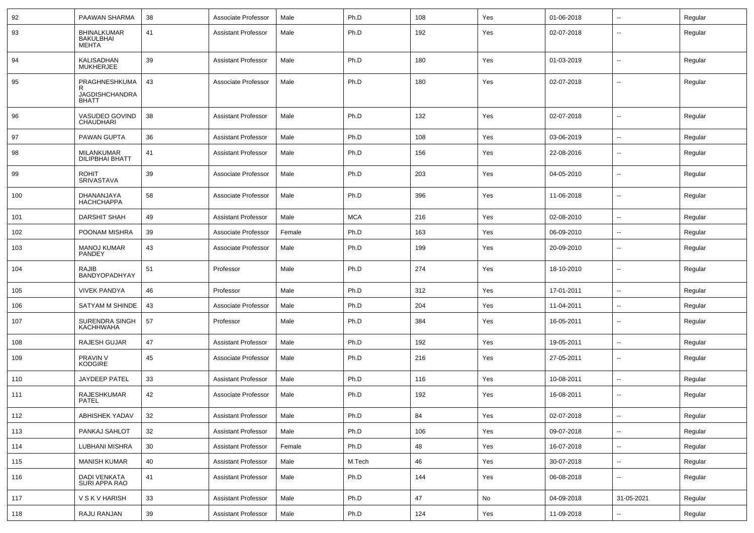| 92  | PAAWAN SHARMA                                          | 38 | Associate Professor        | Male   | Ph.D       | 108 | Yes | 01-06-2018 | ⊷.                       | Regular |
|-----|--------------------------------------------------------|----|----------------------------|--------|------------|-----|-----|------------|--------------------------|---------|
| 93  | <b>BHINALKUMAR</b><br>BAKULBHAI<br><b>MEHTA</b>        | 41 | <b>Assistant Professor</b> | Male   | Ph.D       | 192 | Yes | 02-07-2018 | --                       | Regular |
| 94  | <b>KALISADHAN</b><br><b>MUKHERJEE</b>                  | 39 | <b>Assistant Professor</b> | Male   | Ph.D       | 180 | Yes | 01-03-2019 | $\overline{\phantom{a}}$ | Regular |
| 95  | PRAGHNESHKUMA<br><b>JAGDISHCHANDRA</b><br><b>BHATT</b> | 43 | Associate Professor        | Male   | Ph.D       | 180 | Yes | 02-07-2018 | --                       | Regular |
| 96  | VASUDEO GOVIND<br><b>CHAUDHARI</b>                     | 38 | <b>Assistant Professor</b> | Male   | Ph.D       | 132 | Yes | 02-07-2018 | --                       | Regular |
| 97  | PAWAN GUPTA                                            | 36 | <b>Assistant Professor</b> | Male   | Ph.D       | 108 | Yes | 03-06-2019 | --                       | Regular |
| 98  | MILANKUMAR<br><b>DILIPBHAI BHATT</b>                   | 41 | <b>Assistant Professor</b> | Male   | Ph.D       | 156 | Yes | 22-08-2016 | $\overline{\phantom{a}}$ | Regular |
| 99  | <b>ROHIT</b><br>SRIVASTAVA                             | 39 | Associate Professor        | Male   | Ph.D       | 203 | Yes | 04-05-2010 | ⊷.                       | Regular |
| 100 | DHANANJAYA<br><b>HACHCHAPPA</b>                        | 58 | Associate Professor        | Male   | Ph.D       | 396 | Yes | 11-06-2018 | $\overline{\phantom{a}}$ | Regular |
| 101 | <b>DARSHIT SHAH</b>                                    | 49 | <b>Assistant Professor</b> | Male   | <b>MCA</b> | 216 | Yes | 02-08-2010 | $\overline{\phantom{a}}$ | Regular |
| 102 | POONAM MISHRA                                          | 39 | Associate Professor        | Female | Ph.D       | 163 | Yes | 06-09-2010 | $\overline{\phantom{a}}$ | Regular |
| 103 | <b>MANOJ KUMAR</b><br>PANDEY                           | 43 | Associate Professor        | Male   | Ph.D       | 199 | Yes | 20-09-2010 | --                       | Regular |
| 104 | <b>RAJIB</b><br>BANDYOPADHYAY                          | 51 | Professor                  | Male   | Ph.D       | 274 | Yes | 18-10-2010 | --                       | Regular |
| 105 | <b>VIVEK PANDYA</b>                                    | 46 | Professor                  | Male   | Ph.D       | 312 | Yes | 17-01-2011 | н.                       | Regular |
| 106 | SATYAM M SHINDE                                        | 43 | Associate Professor        | Male   | Ph.D       | 204 | Yes | 11-04-2011 | --                       | Regular |
| 107 | SURENDRA SINGH<br>KACHHWAHA                            | 57 | Professor                  | Male   | Ph.D       | 384 | Yes | 16-05-2011 | --                       | Regular |
| 108 | RAJESH GUJAR                                           | 47 | <b>Assistant Professor</b> | Male   | Ph.D       | 192 | Yes | 19-05-2011 | $\overline{a}$           | Regular |
| 109 | PRAVIN V<br><b>KODGIRE</b>                             | 45 | Associate Professor        | Male   | Ph.D       | 216 | Yes | 27-05-2011 | --                       | Regular |
| 110 | <b>JAYDEEP PATEL</b>                                   | 33 | <b>Assistant Professor</b> | Male   | Ph.D       | 116 | Yes | 10-08-2011 | --                       | Regular |
| 111 | RAJESHKUMAR<br>PATEL                                   | 42 | Associate Professor        | Male   | Ph.D       | 192 | Yes | 16-08-2011 | $\overline{a}$           | Regular |
| 112 | ABHISHEK YADAV                                         | 32 | <b>Assistant Professor</b> | Male   | Ph.D       | 84  | Yes | 02-07-2018 | $\sim$                   | Regular |
| 113 | PANKAJ SAHLOT                                          | 32 | <b>Assistant Professor</b> | Male   | Ph.D       | 106 | Yes | 09-07-2018 | н.                       | Regular |
| 114 | LUBHANI MISHRA                                         | 30 | <b>Assistant Professor</b> | Female | Ph.D       | 48  | Yes | 16-07-2018 | $\sim$                   | Regular |
| 115 | <b>MANISH KUMAR</b>                                    | 40 | <b>Assistant Professor</b> | Male   | M.Tech     | 46  | Yes | 30-07-2018 | н.                       | Regular |
| 116 | DADI VENKATA<br>SURI APPA RAO                          | 41 | <b>Assistant Professor</b> | Male   | Ph.D       | 144 | Yes | 06-08-2018 | н.                       | Regular |
| 117 | <b>V S K V HARISH</b>                                  | 33 | <b>Assistant Professor</b> | Male   | Ph.D       | 47  | No  | 04-09-2018 | 31-05-2021               | Regular |
| 118 | RAJU RANJAN                                            | 39 | <b>Assistant Professor</b> | Male   | Ph.D       | 124 | Yes | 11-09-2018 | --                       | Regular |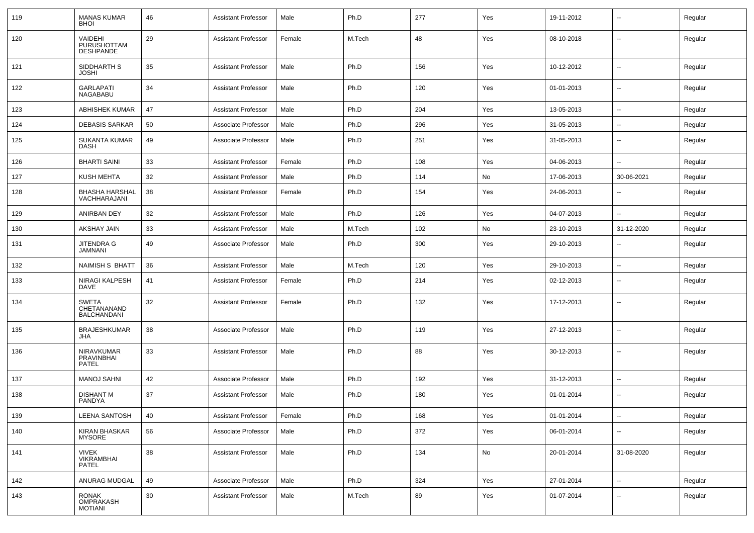| 119 | <b>MANAS KUMAR</b><br><b>BHOI</b>                 | 46 | <b>Assistant Professor</b> | Male   | Ph.D   | 277 | Yes | 19-11-2012 | $\overline{\phantom{a}}$ | Regular |
|-----|---------------------------------------------------|----|----------------------------|--------|--------|-----|-----|------------|--------------------------|---------|
| 120 | VAIDEHI<br>PURUSHOTTAM<br><b>DESHPANDE</b>        | 29 | <b>Assistant Professor</b> | Female | M.Tech | 48  | Yes | 08-10-2018 | $\overline{\phantom{a}}$ | Regular |
| 121 | SIDDHARTH S<br><b>JOSHI</b>                       | 35 | <b>Assistant Professor</b> | Male   | Ph.D   | 156 | Yes | 10-12-2012 | --                       | Regular |
| 122 | <b>GARLAPATI</b><br><b>NAGABABU</b>               | 34 | <b>Assistant Professor</b> | Male   | Ph.D   | 120 | Yes | 01-01-2013 | $\overline{\phantom{a}}$ | Regular |
| 123 | <b>ABHISHEK KUMAR</b>                             | 47 | <b>Assistant Professor</b> | Male   | Ph.D   | 204 | Yes | 13-05-2013 | $\sim$                   | Regular |
| 124 | <b>DEBASIS SARKAR</b>                             | 50 | Associate Professor        | Male   | Ph.D   | 296 | Yes | 31-05-2013 | --                       | Regular |
| 125 | <b>SUKANTA KUMAR</b><br><b>DASH</b>               | 49 | Associate Professor        | Male   | Ph.D   | 251 | Yes | 31-05-2013 | $\sim$                   | Regular |
| 126 | <b>BHARTI SAINI</b>                               | 33 | <b>Assistant Professor</b> | Female | Ph.D   | 108 | Yes | 04-06-2013 | $\mathbf{u}$             | Regular |
| 127 | <b>KUSH MEHTA</b>                                 | 32 | <b>Assistant Professor</b> | Male   | Ph.D   | 114 | No  | 17-06-2013 | 30-06-2021               | Regular |
| 128 | <b>BHASHA HARSHAL</b><br>VACHHARAJANI             | 38 | <b>Assistant Professor</b> | Female | Ph.D   | 154 | Yes | 24-06-2013 | $\overline{\phantom{a}}$ | Regular |
| 129 | <b>ANIRBAN DEY</b>                                | 32 | <b>Assistant Professor</b> | Male   | Ph.D   | 126 | Yes | 04-07-2013 | $\overline{a}$           | Regular |
| 130 | AKSHAY JAIN                                       | 33 | <b>Assistant Professor</b> | Male   | M.Tech | 102 | No  | 23-10-2013 | 31-12-2020               | Regular |
| 131 | <b>JITENDRA G</b><br><b>JAMNANI</b>               | 49 | Associate Professor        | Male   | Ph.D   | 300 | Yes | 29-10-2013 | $\overline{\phantom{a}}$ | Regular |
| 132 | NAIMISH S BHATT                                   | 36 | <b>Assistant Professor</b> | Male   | M.Tech | 120 | Yes | 29-10-2013 | $\sim$                   | Regular |
| 133 | NIRAGI KALPESH<br><b>DAVE</b>                     | 41 | <b>Assistant Professor</b> | Female | Ph.D   | 214 | Yes | 02-12-2013 | $\overline{\phantom{a}}$ | Regular |
| 134 | <b>SWETA</b><br>CHETANANAND<br><b>BALCHANDANI</b> | 32 | <b>Assistant Professor</b> | Female | Ph.D   | 132 | Yes | 17-12-2013 | --                       | Regular |
| 135 | <b>BRAJESHKUMAR</b><br>JHA                        | 38 | Associate Professor        | Male   | Ph.D   | 119 | Yes | 27-12-2013 | $\sim$                   | Regular |
| 136 | <b>NIRAVKUMAR</b><br>PRAVINBHAI<br><b>PATEL</b>   | 33 | <b>Assistant Professor</b> | Male   | Ph.D   | 88  | Yes | 30-12-2013 | $\sim$                   | Regular |
| 137 | <b>MANOJ SAHNI</b>                                | 42 | Associate Professor        | Male   | Ph.D   | 192 | Yes | 31-12-2013 | $\overline{\phantom{a}}$ | Regular |
| 138 | <b>DISHANT M</b><br>PANDYA                        | 37 | <b>Assistant Professor</b> | Male   | Ph.D   | 180 | Yes | 01-01-2014 | $\overline{\phantom{a}}$ | Regular |
| 139 | <b>LEENA SANTOSH</b>                              | 40 | <b>Assistant Professor</b> | Female | Ph.D   | 168 | Yes | 01-01-2014 | $\sim$                   | Regular |
| 140 | <b>KIRAN BHASKAR</b><br><b>MYSORE</b>             | 56 | Associate Professor        | Male   | Ph.D   | 372 | Yes | 06-01-2014 | $\sim$                   | Regular |
| 141 | <b>VIVEK</b><br><b>VIKRAMBHAI</b><br>PATEL        | 38 | <b>Assistant Professor</b> | Male   | Ph.D   | 134 | No  | 20-01-2014 | 31-08-2020               | Regular |
| 142 | ANURAG MUDGAL                                     | 49 | Associate Professor        | Male   | Ph.D   | 324 | Yes | 27-01-2014 | $\sim$                   | Regular |
| 143 | RONAK<br><b>OMPRAKASH</b><br><b>MOTIANI</b>       | 30 | <b>Assistant Professor</b> | Male   | M.Tech | 89  | Yes | 01-07-2014 | $\overline{\phantom{a}}$ | Regular |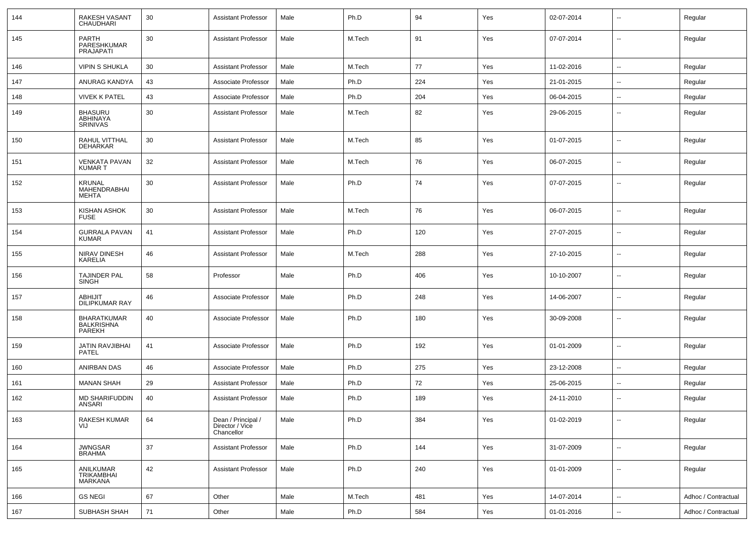| 144 | RAKESH VASANT<br><b>CHAUDHARI</b>                 | 30 | Assistant Professor                                 | Male | Ph.D   | 94  | Yes | 02-07-2014 | $\overline{\phantom{a}}$ | Regular             |
|-----|---------------------------------------------------|----|-----------------------------------------------------|------|--------|-----|-----|------------|--------------------------|---------------------|
| 145 | <b>PARTH</b><br>PARESHKUMAR<br><b>PRAJAPATI</b>   | 30 | <b>Assistant Professor</b>                          | Male | M.Tech | 91  | Yes | 07-07-2014 | $\sim$                   | Regular             |
| 146 | <b>VIPIN S SHUKLA</b>                             | 30 | <b>Assistant Professor</b>                          | Male | M.Tech | 77  | Yes | 11-02-2016 | $\mathbf{u}$             | Regular             |
| 147 | ANURAG KANDYA                                     | 43 | Associate Professor                                 | Male | Ph.D   | 224 | Yes | 21-01-2015 | $\overline{\phantom{a}}$ | Regular             |
| 148 | <b>VIVEK K PATEL</b>                              | 43 | Associate Professor                                 | Male | Ph.D   | 204 | Yes | 06-04-2015 | $\overline{\phantom{a}}$ | Regular             |
| 149 | <b>BHASURU</b><br>ABHINAYA<br><b>SRINIVAS</b>     | 30 | <b>Assistant Professor</b>                          | Male | M.Tech | 82  | Yes | 29-06-2015 | $\overline{\phantom{a}}$ | Regular             |
| 150 | RAHUL VITTHAL<br><b>DEHARKAR</b>                  | 30 | <b>Assistant Professor</b>                          | Male | M.Tech | 85  | Yes | 01-07-2015 | $\overline{\phantom{a}}$ | Regular             |
| 151 | <b>VENKATA PAVAN</b><br><b>KUMART</b>             | 32 | <b>Assistant Professor</b>                          | Male | M.Tech | 76  | Yes | 06-07-2015 | --                       | Regular             |
| 152 | <b>KRUNAL</b><br>MAHENDRABHAI<br><b>MEHTA</b>     | 30 | <b>Assistant Professor</b>                          | Male | Ph.D   | 74  | Yes | 07-07-2015 | --                       | Regular             |
| 153 | <b>KISHAN ASHOK</b><br><b>FUSE</b>                | 30 | <b>Assistant Professor</b>                          | Male | M.Tech | 76  | Yes | 06-07-2015 | $\sim$                   | Regular             |
| 154 | <b>GURRALA PAVAN</b><br><b>KUMAR</b>              | 41 | <b>Assistant Professor</b>                          | Male | Ph.D   | 120 | Yes | 27-07-2015 | $\sim$                   | Regular             |
| 155 | <b>NIRAV DINESH</b><br>KARELIA                    | 46 | <b>Assistant Professor</b>                          | Male | M.Tech | 288 | Yes | 27-10-2015 | $\sim$                   | Regular             |
| 156 | <b>TAJINDER PAL</b><br><b>SINGH</b>               | 58 | Professor                                           | Male | Ph.D   | 406 | Yes | 10-10-2007 | $\sim$                   | Regular             |
| 157 | <b>ABHIJIT</b><br><b>DILIPKUMAR RAY</b>           | 46 | Associate Professor                                 | Male | Ph.D   | 248 | Yes | 14-06-2007 | $\sim$                   | Regular             |
| 158 | <b>BHARATKUMAR</b><br><b>BALKRISHNA</b><br>PAREKH | 40 | Associate Professor                                 | Male | Ph.D   | 180 | Yes | 30-09-2008 | $\overline{\phantom{a}}$ | Regular             |
| 159 | JATIN RAVJIBHAI<br>PATEL                          | 41 | Associate Professor                                 | Male | Ph.D   | 192 | Yes | 01-01-2009 | $\overline{a}$           | Regular             |
| 160 | ANIRBAN DAS                                       | 46 | Associate Professor                                 | Male | Ph.D   | 275 | Yes | 23-12-2008 | $\sim$                   | Regular             |
| 161 | <b>MANAN SHAH</b>                                 | 29 | <b>Assistant Professor</b>                          | Male | Ph.D   | 72  | Yes | 25-06-2015 | $\sim$                   | Regular             |
| 162 | MD SHARIFUDDIN<br>ANSARI                          | 40 | <b>Assistant Professor</b>                          | Male | Ph.D   | 189 | Yes | 24-11-2010 | $\overline{\phantom{a}}$ | Regular             |
| 163 | RAKESH KUMAR<br>VIJ                               | 64 | Dean / Principal /<br>Director / Vice<br>Chancellor | Male | Ph.D   | 384 | Yes | 01-02-2019 | $\overline{\phantom{a}}$ | Regular             |
| 164 | <b>JWNGSAR</b><br><b>BRAHMA</b>                   | 37 | <b>Assistant Professor</b>                          | Male | Ph.D   | 144 | Yes | 31-07-2009 | $\sim$                   | Regular             |
| 165 | ANILKUMAR<br>TRIKAMBHAI<br><b>MARKANA</b>         | 42 | <b>Assistant Professor</b>                          | Male | Ph.D   | 240 | Yes | 01-01-2009 | $\overline{\phantom{a}}$ | Regular             |
| 166 | <b>GS NEGI</b>                                    | 67 | Other                                               | Male | M.Tech | 481 | Yes | 14-07-2014 | $\frac{1}{2}$            | Adhoc / Contractual |
| 167 | SUBHASH SHAH                                      | 71 | Other                                               | Male | Ph.D   | 584 | Yes | 01-01-2016 | $\sim$                   | Adhoc / Contractual |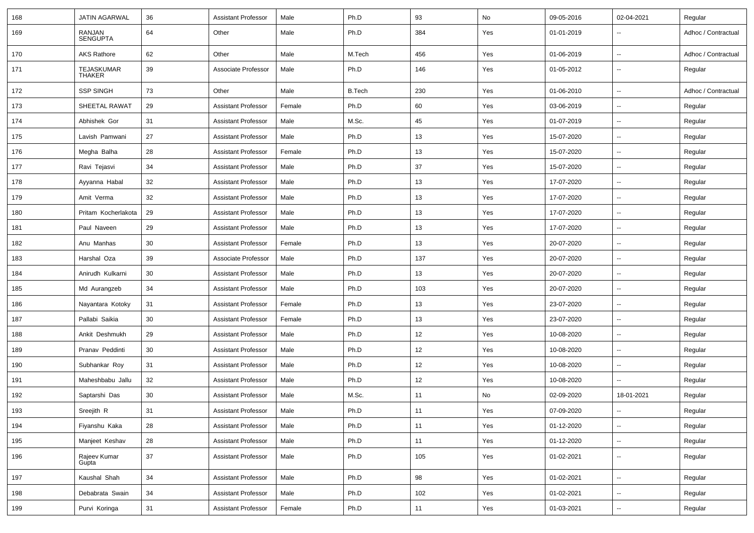| 168 | JATIN AGARWAL               | 36     | <b>Assistant Professor</b> | Male   | Ph.D          | 93  | No  | 09-05-2016 | 02-04-2021               | Regular             |
|-----|-----------------------------|--------|----------------------------|--------|---------------|-----|-----|------------|--------------------------|---------------------|
| 169 | RANJAN<br>SENGUPTA          | 64     | Other                      | Male   | Ph.D          | 384 | Yes | 01-01-2019 |                          | Adhoc / Contractual |
| 170 | <b>AKS Rathore</b>          | 62     | Other                      | Male   | M.Tech        | 456 | Yes | 01-06-2019 | $\sim$                   | Adhoc / Contractual |
| 171 | TEJASKUMAR<br><b>THAKER</b> | 39     | Associate Professor        | Male   | Ph.D          | 146 | Yes | 01-05-2012 | $\sim$                   | Regular             |
| 172 | <b>SSP SINGH</b>            | 73     | Other                      | Male   | <b>B.Tech</b> | 230 | Yes | 01-06-2010 | $\overline{\phantom{a}}$ | Adhoc / Contractual |
| 173 | SHEETAL RAWAT               | 29     | <b>Assistant Professor</b> | Female | Ph.D          | 60  | Yes | 03-06-2019 | $\overline{\phantom{a}}$ | Regular             |
| 174 | Abhishek Gor                | 31     | <b>Assistant Professor</b> | Male   | M.Sc.         | 45  | Yes | 01-07-2019 | $\sim$                   | Regular             |
| 175 | Lavish Pamwani              | 27     | <b>Assistant Professor</b> | Male   | Ph.D          | 13  | Yes | 15-07-2020 | $\sim$                   | Regular             |
| 176 | Megha Balha                 | 28     | <b>Assistant Professor</b> | Female | Ph.D          | 13  | Yes | 15-07-2020 | $\sim$                   | Regular             |
| 177 | Ravi Tejasvi                | 34     | <b>Assistant Professor</b> | Male   | Ph.D          | 37  | Yes | 15-07-2020 | $\overline{\phantom{a}}$ | Regular             |
| 178 | Ayyanna Habal               | 32     | <b>Assistant Professor</b> | Male   | Ph.D          | 13  | Yes | 17-07-2020 | $\sim$                   | Regular             |
| 179 | Amit Verma                  | 32     | <b>Assistant Professor</b> | Male   | Ph.D          | 13  | Yes | 17-07-2020 | $\overline{\phantom{a}}$ | Regular             |
| 180 | Pritam Kocherlakota         | 29     | <b>Assistant Professor</b> | Male   | Ph.D          | 13  | Yes | 17-07-2020 | $\overline{\phantom{a}}$ | Regular             |
| 181 | Paul Naveen                 | 29     | <b>Assistant Professor</b> | Male   | Ph.D          | 13  | Yes | 17-07-2020 | $\sim$                   | Regular             |
| 182 | Anu Manhas                  | 30     | <b>Assistant Professor</b> | Female | Ph.D          | 13  | Yes | 20-07-2020 | $\overline{\phantom{a}}$ | Regular             |
| 183 | Harshal Oza                 | 39     | Associate Professor        | Male   | Ph.D          | 137 | Yes | 20-07-2020 | $\sim$                   | Regular             |
| 184 | Anirudh Kulkarni            | 30     | <b>Assistant Professor</b> | Male   | Ph.D          | 13  | Yes | 20-07-2020 | $\sim$                   | Regular             |
| 185 | Md Aurangzeb                | 34     | <b>Assistant Professor</b> | Male   | Ph.D          | 103 | Yes | 20-07-2020 | $\overline{\phantom{a}}$ | Regular             |
| 186 | Nayantara Kotoky            | 31     | <b>Assistant Professor</b> | Female | Ph.D          | 13  | Yes | 23-07-2020 | $\sim$                   | Regular             |
| 187 | Pallabi Saikia              | 30     | <b>Assistant Professor</b> | Female | Ph.D          | 13  | Yes | 23-07-2020 | $\overline{\phantom{a}}$ | Regular             |
| 188 | Ankit Deshmukh              | 29     | <b>Assistant Professor</b> | Male   | Ph.D          | 12  | Yes | 10-08-2020 | $\sim$                   | Regular             |
| 189 | Pranav Peddinti             | 30     | <b>Assistant Professor</b> | Male   | Ph.D          | 12  | Yes | 10-08-2020 | $\overline{\phantom{a}}$ | Regular             |
| 190 | Subhankar Roy               | 31     | <b>Assistant Professor</b> | Male   | Ph.D          | 12  | Yes | 10-08-2020 | $\sim$                   | Regular             |
| 191 | Maheshbabu Jallu            | 32     | <b>Assistant Professor</b> | Male   | Ph.D          | 12  | Yes | 10-08-2020 |                          | Regular             |
| 192 | Saptarshi Das               | 30     | <b>Assistant Professor</b> | Male   | M.Sc.         | 11  | No  | 02-09-2020 | 18-01-2021               | Regular             |
| 193 | Sreejith R                  | 31     | Assistant Professor        | Male   | Ph.D          | 11  | Yes | 07-09-2020 |                          | Regular             |
| 194 | Fiyanshu Kaka               | 28     | <b>Assistant Professor</b> | Male   | Ph.D          | 11  | Yes | 01-12-2020 | $\sim$                   | Regular             |
| 195 | Manjeet Keshav              | 28     | <b>Assistant Professor</b> | Male   | Ph.D          | 11  | Yes | 01-12-2020 | $\overline{\phantom{a}}$ | Regular             |
| 196 | Rajeev Kumar<br>Gupta       | 37     | <b>Assistant Professor</b> | Male   | Ph.D          | 105 | Yes | 01-02-2021 | $\overline{\phantom{a}}$ | Regular             |
| 197 | Kaushal Shah                | 34     | <b>Assistant Professor</b> | Male   | Ph.D          | 98  | Yes | 01-02-2021 | $\sim$                   | Regular             |
| 198 | Debabrata Swain             | $34\,$ | <b>Assistant Professor</b> | Male   | Ph.D          | 102 | Yes | 01-02-2021 | $\overline{\phantom{a}}$ | Regular             |
| 199 | Purvi Koringa               | 31     | <b>Assistant Professor</b> | Female | Ph.D          | 11  | Yes | 01-03-2021 | $\sim$                   | Regular             |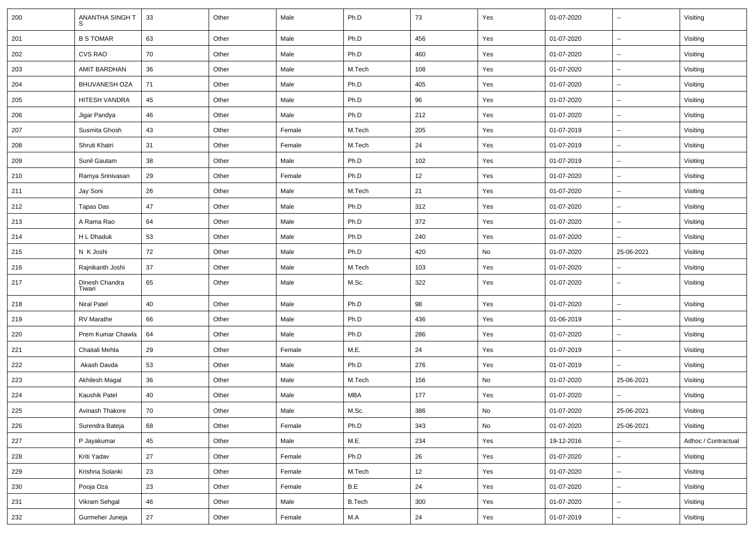| 200 | ANANTHA SINGH T          | 33 | Other | Male   | Ph.D          | 73  | Yes           | 01-07-2020 | $\overline{\phantom{a}}$ | Visiting            |
|-----|--------------------------|----|-------|--------|---------------|-----|---------------|------------|--------------------------|---------------------|
| 201 | <b>B S TOMAR</b>         | 63 | Other | Male   | Ph.D          | 456 | Yes           | 01-07-2020 | Ξ.                       | Visiting            |
| 202 | CVS RAO                  | 70 | Other | Male   | Ph.D          | 460 | Yes           | 01-07-2020 | $\sim$                   | Visiting            |
| 203 | AMIT BARDHAN             | 36 | Other | Male   | M.Tech        | 108 | Yes           | 01-07-2020 | ⊷.                       | Visiting            |
| 204 | <b>BHUVANESH OZA</b>     | 71 | Other | Male   | Ph.D          | 405 | Yes           | 01-07-2020 | $\sim$                   | Visiting            |
| 205 | HITESH VANDRA            | 45 | Other | Male   | Ph.D          | 96  | Yes           | 01-07-2020 | $\overline{\phantom{a}}$ | Visiting            |
| 206 | Jigar Pandya             | 46 | Other | Male   | Ph.D          | 212 | Yes           | 01-07-2020 | Ξ.                       | Visiting            |
| 207 | Susmita Ghosh            | 43 | Other | Female | M.Tech        | 205 | Yes           | 01-07-2019 | $\sim$                   | Visiting            |
| 208 | Shruti Khatri            | 31 | Other | Female | M.Tech        | 24  | Yes           | 01-07-2019 | $\sim$                   | Visiting            |
| 209 | Sunil Gautam             | 38 | Other | Male   | Ph.D          | 102 | Yes           | 01-07-2019 | $\sim$                   | Visiting            |
| 210 | Ramya Srinivasan         | 29 | Other | Female | Ph.D          | 12  | Yes           | 01-07-2020 | $\overline{\phantom{a}}$ | Visiting            |
| 211 | Jay Soni                 | 26 | Other | Male   | M.Tech        | 21  | Yes           | 01-07-2020 | $\overline{\phantom{a}}$ | Visiting            |
| 212 | Tapas Das                | 47 | Other | Male   | Ph.D          | 312 | Yes           | 01-07-2020 | н.                       | Visiting            |
| 213 | A Rama Rao               | 64 | Other | Male   | Ph.D          | 372 | Yes           | 01-07-2020 | $\sim$                   | Visiting            |
| 214 | H L Dhaduk               | 53 | Other | Male   | Ph.D          | 240 | Yes           | 01-07-2020 | $\sim$                   | Visiting            |
| 215 | N K Joshi                | 72 | Other | Male   | Ph.D          | 420 | No            | 01-07-2020 | 25-06-2021               | Visiting            |
| 216 | Rajnikanth Joshi         | 37 | Other | Male   | M.Tech        | 103 | Yes           | 01-07-2020 | $\sim$                   | Visiting            |
| 217 | Dinesh Chandra<br>Tiwari | 65 | Other | Male   | M.Sc.         | 322 | Yes           | 01-07-2020 | ⊷.                       | Visiting            |
| 218 | Niral Patel              | 40 | Other | Male   | Ph.D          | 98  | Yes           | 01-07-2020 | $\overline{\phantom{a}}$ | Visiting            |
| 219 | RV Marathe               | 66 | Other | Male   | Ph.D          | 436 | Yes           | 01-06-2019 | $\overline{\phantom{a}}$ | Visiting            |
| 220 | Prem Kumar Chawla        | 64 | Other | Male   | Ph.D          | 286 | Yes           | 01-07-2020 | $\sim$                   | Visiting            |
| 221 | Chaitali Mehta           | 29 | Other | Female | M.E.          | 24  | Yes           | 01-07-2019 | $\sim$                   | Visiting            |
| 222 | Akash Davda              | 53 | Other | Male   | Ph.D          | 276 | Yes           | 01-07-2019 | $\sim$                   | Visiting            |
| 223 | Akhilesh Magal           | 36 | Other | Male   | M.Tech        | 156 | No            | 01-07-2020 | 25-06-2021               | Visiting            |
| 224 | Kaushik Patel            | 40 | Other | Male   | MBA           | 177 | Yes           | 01-07-2020 |                          | Visiting            |
| 225 | Avinash Thakore          | 70 | Other | Male   | M.Sc.         | 386 | $\mathsf{No}$ | 01-07-2020 | 25-06-2021               | Visiting            |
| 226 | Surendra Bateja          | 68 | Other | Female | Ph.D          | 343 | No            | 01-07-2020 | 25-06-2021               | Visiting            |
| 227 | P Jayakumar              | 45 | Other | Male   | M.E.          | 234 | Yes           | 19-12-2016 | $\sim$                   | Adhoc / Contractual |
| 228 | Kriti Yadav              | 27 | Other | Female | Ph.D          | 26  | Yes           | 01-07-2020 | $\sim$                   | Visiting            |
| 229 | Krishna Solanki          | 23 | Other | Female | M.Tech        | 12  | Yes           | 01-07-2020 | $\sim$                   | Visiting            |
| 230 | Pooja Oza                | 23 | Other | Female | B.E           | 24  | Yes           | 01-07-2020 | $\sim$                   | Visiting            |
| 231 | Vikram Sehgal            | 46 | Other | Male   | <b>B.Tech</b> | 300 | Yes           | 01-07-2020 | н.                       | Visiting            |
| 232 | Gurmeher Juneja          | 27 | Other | Female | M.A           | 24  | Yes           | 01-07-2019 | $\sim$                   | Visiting            |